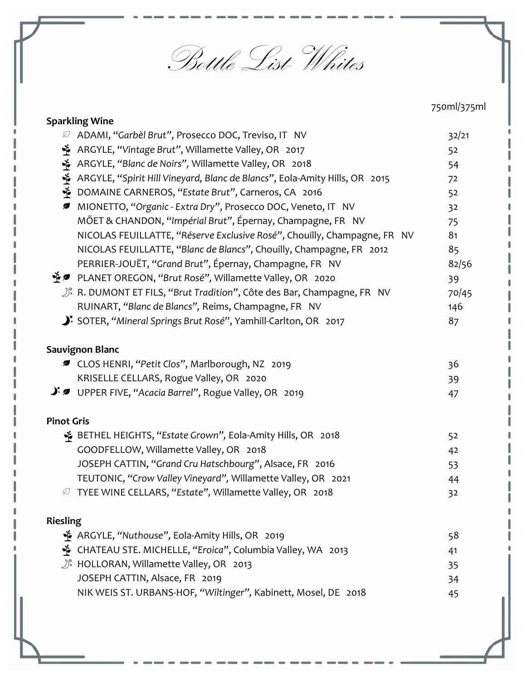Bottle List-Whites

|                                                                                        | 750ml/375ml |
|----------------------------------------------------------------------------------------|-------------|
| <b>Sparkling Wine</b>                                                                  |             |
| ADAMI, "Garbèl Brut", Prosecco DOC, Treviso, IT NV<br>Ø                                | 32/21       |
| ARGYLE, "Vintage Brut", Willamette Valley, OR 2017<br>Ť                                | 52          |
| Ý<br>ARGYLE, "Blanc de Noirs", Willamette Valley, OR 2018                              | 54          |
| Ť<br>ARGYLE, "Spirit Hill Vineyard, Blanc de Blancs", Eola-Amity Hills, OR 2015        | 72          |
| Ý<br>DOMAINE CARNEROS, "Estate Brut", Carneros, CA 2016                                | 52          |
| MIONETTO, "Organic - Extra Dry", Prosecco DOC, Veneto, IT NV<br>Ø                      | 32          |
| MŐET & CHANDON, "Impérial Brut", Épernay, Champagne, FR NV                             | 75          |
| NICOLAS FEUILLATTE, "Réserve Exclusive Rosé", Chouilly, Champagne, FR NV               | 81          |
| NICOLAS FEUILLATTE, "Blanc de Blancs", Chouilly, Champagne, FR 2012                    | 85          |
| PERRIER-JOUËT, "Grand Brut", Épernay, Champagne, FR NV                                 | 82/56       |
| * <i>D</i> PLANET OREGON, "Brut Rosé", Willamette Valley, OR 2020                      | 39          |
| $\bigcup^{\kappa}$ R. DUMONT ET FILS, "Brut Tradition", Côte des Bar, Champagne, FR NV | 70/45       |
| RUINART, "Blanc de Blancs", Reims, Champagne, FR NV                                    | 146         |
| SOTER, "Mineral Springs Brut Rosé", Yamhill-Carlton, OR 2017                           | 87          |
| <b>Sauvignon Blanc</b>                                                                 |             |
| ■ CLOS HENRI, "Petit Clos", Marlborough, NZ 2019                                       | 36          |
| KRISELLE CELLARS, Rogue Valley, OR 2020                                                | 39          |
| $\mathcal{F}$ UPPER FIVE, "Acacia Barrel", Rogue Valley, OR 2019                       | 47          |
| <b>Pinot Gris</b>                                                                      |             |
| 6 BETHEL HEIGHTS, "Estate Grown", Eola-Amity Hills, OR 2018                            | 52          |
| GOODFELLOW, Willamette Valley, OR 2018                                                 | 42          |
| JOSEPH CATTIN, "Grand Cru Hatschbourg", Alsace, FR 2016                                | 53          |
| TEUTONIC, "Crow Valley Vineyard", Willamette Valley, OR 2021                           | 44          |
| $\varnothing$ TYEE WINE CELLARS, "Estate", Willamette Valley, OR 2018                  | 32          |
| <b>Riesling</b>                                                                        |             |
| ithermity Hills, OR 2019, ARGYLE, "Nuthouse", Eola-Amity Hills, OR 2019                | 58          |
| E CHATEAU STE. MICHELLE, "Eroica", Columbia Valley, WA 2013                            | 41          |
| $\bigcirc^*$ HOLLORAN, Willamette Valley, OR 2013                                      | 35          |
| JOSEPH CATTIN, Alsace, FR 2019                                                         | 34          |
| NIK WEIS ST. URBANS-HOF, "Wiltinger", Kabinett, Mosel, DE 2018                         | 45          |
|                                                                                        |             |